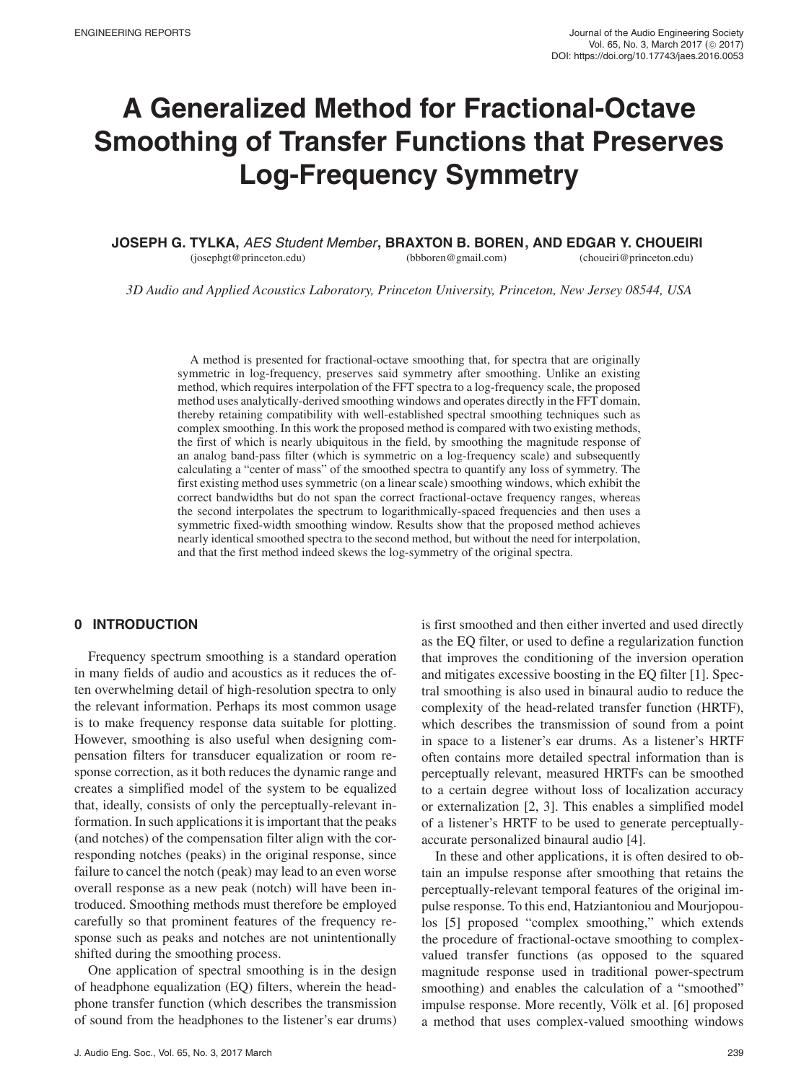# **A Generalized Method for Fractional-Octave Smoothing of Transfer Functions that Preserves Log-Frequency Symmetry**

**JOSEPH G. TYLKA,** AES Student Member **, BRAXTON B. BOREN , AND EDGAR Y. CHOUEIRI** (josephgt@princeton.edu) (bbboren@gmail.com) (choueiri@princeton.edu)

*3D Audio and Applied Acoustics Laboratory, Princeton University, Princeton, New Jersey 08544, USA*

A method is presented for fractional-octave smoothing that, for spectra that are originally symmetric in log-frequency, preserves said symmetry after smoothing. Unlike an existing method, which requires interpolation of the FFT spectra to a log-frequency scale, the proposed method uses analytically-derived smoothing windows and operates directly in the FFT domain, thereby retaining compatibility with well-established spectral smoothing techniques such as complex smoothing. In this work the proposed method is compared with two existing methods, the first of which is nearly ubiquitous in the field, by smoothing the magnitude response of an analog band-pass filter (which is symmetric on a log-frequency scale) and subsequently calculating a "center of mass" of the smoothed spectra to quantify any loss of symmetry. The first existing method uses symmetric (on a linear scale) smoothing windows, which exhibit the correct bandwidths but do not span the correct fractional-octave frequency ranges, whereas the second interpolates the spectrum to logarithmically-spaced frequencies and then uses a symmetric fixed-width smoothing window. Results show that the proposed method achieves nearly identical smoothed spectra to the second method, but without the need for interpolation, and that the first method indeed skews the log-symmetry of the original spectra.

# **0 INTRODUCTION**

Frequency spectrum smoothing is a standard operation in many fields of audio and acoustics as it reduces the often overwhelming detail of high-resolution spectra to only the relevant information. Perhaps its most common usage is to make frequency response data suitable for plotting. However, smoothing is also useful when designing compensation filters for transducer equalization or room response correction, as it both reduces the dynamic range and creates a simplified model of the system to be equalized that, ideally, consists of only the perceptually-relevant information. In such applications it is important that the peaks (and notches) of the compensation filter align with the corresponding notches (peaks) in the original response, since failure to cancel the notch (peak) may lead to an even worse overall response as a new peak (notch) will have been introduced. Smoothing methods must therefore be employed carefully so that prominent features of the frequency response such as peaks and notches are not unintentionally shifted during the smoothing process.

One application of spectral smoothing is in the design of headphone equalization (EQ) filters, wherein the headphone transfer function (which describes the transmission of sound from the headphones to the listener's ear drums) is first smoothed and then either inverted and used directly as the EQ filter, or used to define a regularization function that improves the conditioning of the inversion operation and mitigates excessive boosting in the EQ filter [1]. Spectral smoothing is also used in binaural audio to reduce the complexity of the head-related transfer function (HRTF), which describes the transmission of sound from a point in space to a listener's ear drums. As a listener's HRTF often contains more detailed spectral information than is perceptually relevant, measured HRTFs can be smoothed to a certain degree without loss of localization accuracy or externalization [2, 3]. This enables a simplified model of a listener's HRTF to be used to generate perceptuallyaccurate personalized binaural audio [4].

In these and other applications, it is often desired to obtain an impulse response after smoothing that retains the perceptually-relevant temporal features of the original impulse response. To this end, Hatziantoniou and Mourjopoulos [5] proposed "complex smoothing," which extends the procedure of fractional-octave smoothing to complexvalued transfer functions (as opposed to the squared magnitude response used in traditional power-spectrum smoothing) and enables the calculation of a "smoothed" impulse response. More recently, Völk et al. [6] proposed a method that uses complex-valued smoothing windows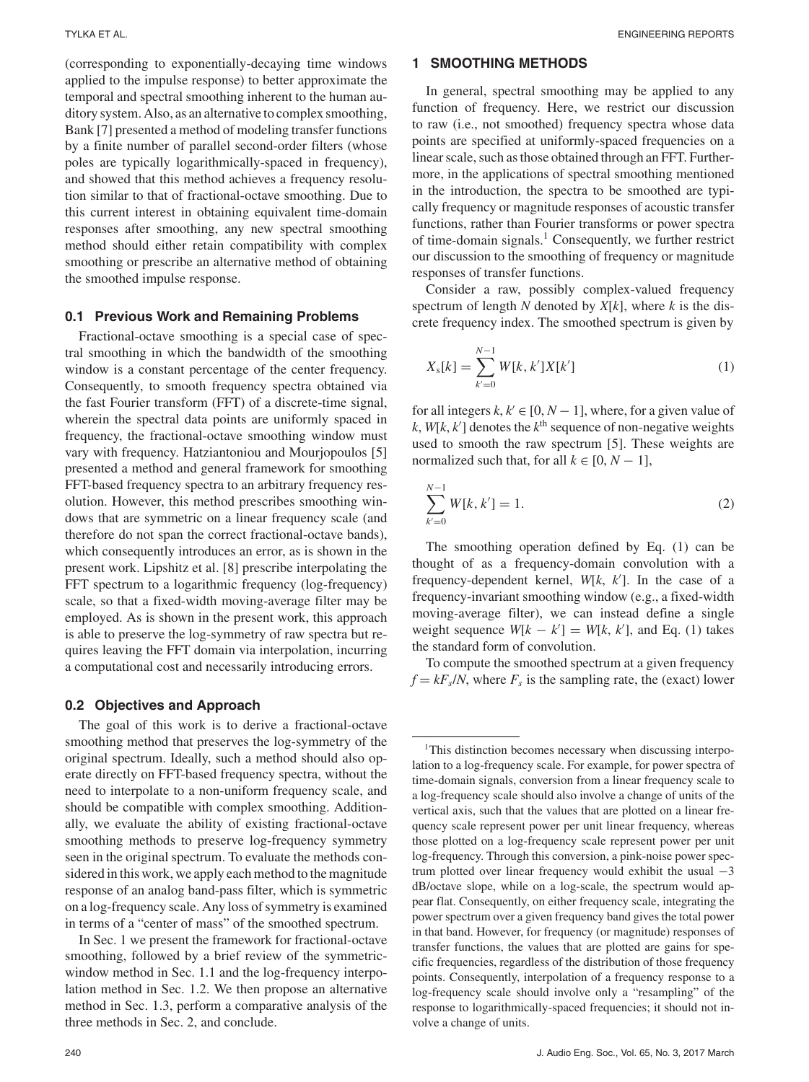(corresponding to exponentially-decaying time windows applied to the impulse response) to better approximate the temporal and spectral smoothing inherent to the human auditory system. Also, as an alternative to complex smoothing, Bank [7] presented a method of modeling transfer functions by a finite number of parallel second-order filters (whose poles are typically logarithmically-spaced in frequency), and showed that this method achieves a frequency resolution similar to that of fractional-octave smoothing. Due to this current interest in obtaining equivalent time-domain responses after smoothing, any new spectral smoothing method should either retain compatibility with complex smoothing or prescribe an alternative method of obtaining the smoothed impulse response.

#### **0.1 Previous Work and Remaining Problems**

Fractional-octave smoothing is a special case of spectral smoothing in which the bandwidth of the smoothing window is a constant percentage of the center frequency. Consequently, to smooth frequency spectra obtained via the fast Fourier transform (FFT) of a discrete-time signal, wherein the spectral data points are uniformly spaced in frequency, the fractional-octave smoothing window must vary with frequency. Hatziantoniou and Mourjopoulos [5] presented a method and general framework for smoothing FFT-based frequency spectra to an arbitrary frequency resolution. However, this method prescribes smoothing windows that are symmetric on a linear frequency scale (and therefore do not span the correct fractional-octave bands), which consequently introduces an error, as is shown in the present work. Lipshitz et al. [8] prescribe interpolating the FFT spectrum to a logarithmic frequency (log-frequency) scale, so that a fixed-width moving-average filter may be employed. As is shown in the present work, this approach is able to preserve the log-symmetry of raw spectra but requires leaving the FFT domain via interpolation, incurring a computational cost and necessarily introducing errors.

#### **0.2 Objectives and Approach**

The goal of this work is to derive a fractional-octave smoothing method that preserves the log-symmetry of the original spectrum. Ideally, such a method should also operate directly on FFT-based frequency spectra, without the need to interpolate to a non-uniform frequency scale, and should be compatible with complex smoothing. Additionally, we evaluate the ability of existing fractional-octave smoothing methods to preserve log-frequency symmetry seen in the original spectrum. To evaluate the methods considered in this work, we apply each method to the magnitude response of an analog band-pass filter, which is symmetric on a log-frequency scale. Any loss of symmetry is examined in terms of a "center of mass" of the smoothed spectrum.

In Sec. 1 we present the framework for fractional-octave smoothing, followed by a brief review of the symmetricwindow method in Sec. 1.1 and the log-frequency interpolation method in Sec. 1.2. We then propose an alternative method in Sec. 1.3, perform a comparative analysis of the three methods in Sec. 2, and conclude.

## **1 SMOOTHING METHODS**

In general, spectral smoothing may be applied to any function of frequency. Here, we restrict our discussion to raw (i.e., not smoothed) frequency spectra whose data points are specified at uniformly-spaced frequencies on a linear scale, such as those obtained through an FFT. Furthermore, in the applications of spectral smoothing mentioned in the introduction, the spectra to be smoothed are typically frequency or magnitude responses of acoustic transfer functions, rather than Fourier transforms or power spectra of time-domain signals.<sup>1</sup> Consequently, we further restrict our discussion to the smoothing of frequency or magnitude responses of transfer functions.

Consider a raw, possibly complex-valued frequency spectrum of length *N* denoted by *X*[*k*], where *k* is the discrete frequency index. The smoothed spectrum is given by

$$
X_{s}[k] = \sum_{k'=0}^{N-1} W[k, k']X[k'] \tag{1}
$$

for all integers  $k, k' \in [0, N - 1]$ , where, for a given value of  $k$ ,  $W[k, k']$  denotes the  $k<sup>th</sup>$  sequence of non-negative weights used to smooth the raw spectrum [5]. These weights are normalized such that, for all  $k \in [0, N - 1]$ ,

$$
\sum_{k'=0}^{N-1} W[k, k'] = 1.
$$
\n(2)

The smoothing operation defined by Eq. (1) can be thought of as a frequency-domain convolution with a frequency-dependent kernel, *W*[*k*, *k* ]. In the case of a frequency-invariant smoothing window (e.g., a fixed-width moving-average filter), we can instead define a single weight sequence  $W[k - k'] = W[k, k']$ , and Eq. (1) takes the standard form of convolution.

To compute the smoothed spectrum at a given frequency  $f = kF_s/N$ , where  $F_s$  is the sampling rate, the (exact) lower

<sup>&</sup>lt;sup>1</sup>This distinction becomes necessary when discussing interpolation to a log-frequency scale. For example, for power spectra of time-domain signals, conversion from a linear frequency scale to a log-frequency scale should also involve a change of units of the vertical axis, such that the values that are plotted on a linear frequency scale represent power per unit linear frequency, whereas those plotted on a log-frequency scale represent power per unit log-frequency. Through this conversion, a pink-noise power spectrum plotted over linear frequency would exhibit the usual −3 dB/octave slope, while on a log-scale, the spectrum would appear flat. Consequently, on either frequency scale, integrating the power spectrum over a given frequency band gives the total power in that band. However, for frequency (or magnitude) responses of transfer functions, the values that are plotted are gains for specific frequencies, regardless of the distribution of those frequency points. Consequently, interpolation of a frequency response to a log-frequency scale should involve only a "resampling" of the response to logarithmically-spaced frequencies; it should not involve a change of units.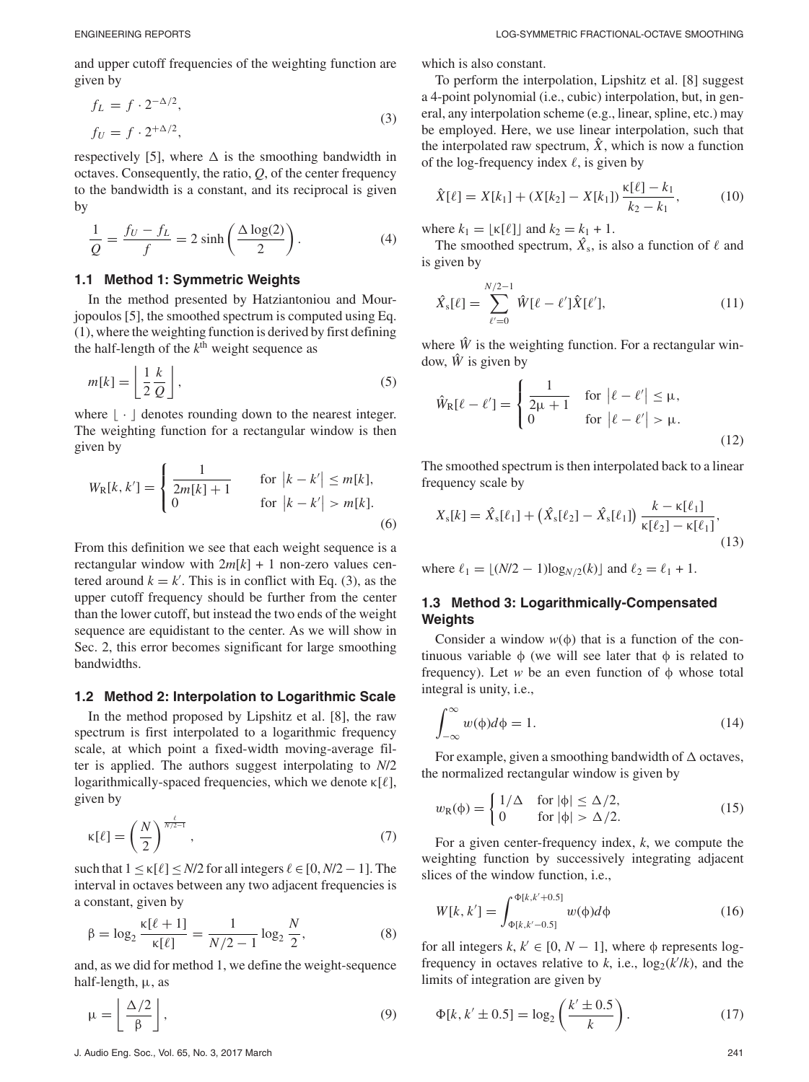and upper cutoff frequencies of the weighting function are given by

$$
f_L = f \cdot 2^{-\Delta/2},
$$
  
\n
$$
f_U = f \cdot 2^{+\Delta/2},
$$
\n(3)

respectively [5], where  $\Delta$  is the smoothing bandwidth in octaves. Consequently, the ratio, *Q*, of the center frequency to the bandwidth is a constant, and its reciprocal is given by

$$
\frac{1}{Q} = \frac{f_U - f_L}{f} = 2\sinh\left(\frac{\Delta \log(2)}{2}\right). \tag{4}
$$

#### **1.1 Method 1: Symmetric Weights**

In the method presented by Hatziantoniou and Mourjopoulos [5], the smoothed spectrum is computed using Eq. (1), where the weighting function is derived by first defining the half-length of the  $k<sup>th</sup>$  weight sequence as

$$
m[k] = \left\lfloor \frac{1}{2} \frac{k}{Q} \right\rfloor,\tag{5}
$$

where  $\lfloor \cdot \rfloor$  denotes rounding down to the nearest integer. The weighting function for a rectangular window is then given by

$$
W_{R}[k, k'] = \begin{cases} \frac{1}{2m[k] + 1} & \text{for } |k - k'| \le m[k],\\ 0 & \text{for } |k - k'| > m[k]. \end{cases}
$$
(6)

From this definition we see that each weight sequence is a rectangular window with  $2m[k] + 1$  non-zero values centered around  $k = k'$ . This is in conflict with Eq. (3), as the upper cutoff frequency should be further from the center than the lower cutoff, but instead the two ends of the weight sequence are equidistant to the center. As we will show in Sec. 2, this error becomes significant for large smoothing bandwidths.

#### **1.2 Method 2: Interpolation to Logarithmic Scale**

In the method proposed by Lipshitz et al. [8], the raw spectrum is first interpolated to a logarithmic frequency scale, at which point a fixed-width moving-average filter is applied. The authors suggest interpolating to *N*/2 logarithmically-spaced frequencies, which we denote  $\kappa[\ell]$ , given by

$$
\kappa[\ell] = \left(\frac{N}{2}\right)^{\frac{\ell}{N/2 - 1}},\tag{7}
$$

such that  $1 \le \kappa[\ell] \le N/2$  for all integers  $\ell \in [0, N/2 - 1]$ . The interval in octaves between any two adjacent frequencies is a constant, given by

$$
\beta = \log_2 \frac{\kappa[\ell+1]}{\kappa[\ell]} = \frac{1}{N/2 - 1} \log_2 \frac{N}{2},\tag{8}
$$

and, as we did for method 1, we define the weight-sequence half-length,  $\mu$ , as

$$
\mu = \left\lfloor \frac{\Delta/2}{\beta} \right\rfloor,\tag{9}
$$

which is also constant.

To perform the interpolation, Lipshitz et al. [8] suggest a 4-point polynomial (i.e., cubic) interpolation, but, in general, any interpolation scheme (e.g., linear, spline, etc.) may be employed. Here, we use linear interpolation, such that the interpolated raw spectrum,  $\hat{X}$ , which is now a function of the log-frequency index  $\ell$ , is given by

$$
\hat{X}[\ell] = X[k_1] + (X[k_2] - X[k_1]) \frac{\kappa[\ell] - k_1}{k_2 - k_1},\tag{10}
$$

where  $k_1 = |\kappa[\ell]|$  and  $k_2 = k_1 + 1$ .

The smoothed spectrum,  $\hat{X}_s$ , is also a function of  $\ell$  and is given by

$$
\hat{X}_{s}[\ell] = \sum_{\ell'=0}^{N/2-1} \hat{W}[\ell-\ell']\hat{X}[\ell'],
$$
\n(11)

where  $\hat{W}$  is the weighting function. For a rectangular window,  $\hat{W}$  is given by

$$
\hat{W}_{R}[\ell - \ell'] = \begin{cases}\n\frac{1}{2\mu + 1} & \text{for } |\ell - \ell'| \le \mu, \\
0 & \text{for } |\ell - \ell'| > \mu.\n\end{cases}
$$
\n(12)

The smoothed spectrum is then interpolated back to a linear frequency scale by

$$
X_{s}[k] = \hat{X}_{s}[\ell_{1}] + (\hat{X}_{s}[\ell_{2}] - \hat{X}_{s}[\ell_{1}]) \frac{k - \kappa[\ell_{1}]}{\kappa[\ell_{2}] - \kappa[\ell_{1}]},
$$
\n(13)

where  $\ell_1 = \lfloor (N/2 - 1) \log_{N/2}(k) \rfloor$  and  $\ell_2 = \ell_1 + 1$ .

# **1.3 Method 3: Logarithmically-Compensated Weights**

Consider a window  $w(\phi)$  that is a function of the continuous variable  $φ$  (we will see later that  $φ$  is related to frequency). Let  $w$  be an even function of  $\phi$  whose total integral is unity, i.e.,

$$
\int_{-\infty}^{\infty} w(\phi)d\phi = 1.
$$
 (14)

For example, given a smoothing bandwidth of  $\Delta$  octaves, the normalized rectangular window is given by

$$
w_{\mathcal{R}}(\phi) = \begin{cases} 1/\Delta & \text{for } |\phi| \le \Delta/2, \\ 0 & \text{for } |\phi| > \Delta/2. \end{cases}
$$
(15)

For a given center-frequency index, *k*, we compute the weighting function by successively integrating adjacent slices of the window function, i.e.,

$$
W[k, k'] = \int_{\Phi[k, k'-0.5]}^{\Phi[k, k'+0.5]} w(\phi) d\phi
$$
 (16)

for all integers  $k, k' \in [0, N - 1]$ , where  $\phi$  represents logfrequency in octaves relative to *k*, i.e.,  $log_2(k'/k)$ , and the limits of integration are given by

$$
\Phi[k, k' \pm 0.5] = \log_2\left(\frac{k' \pm 0.5}{k}\right). \tag{17}
$$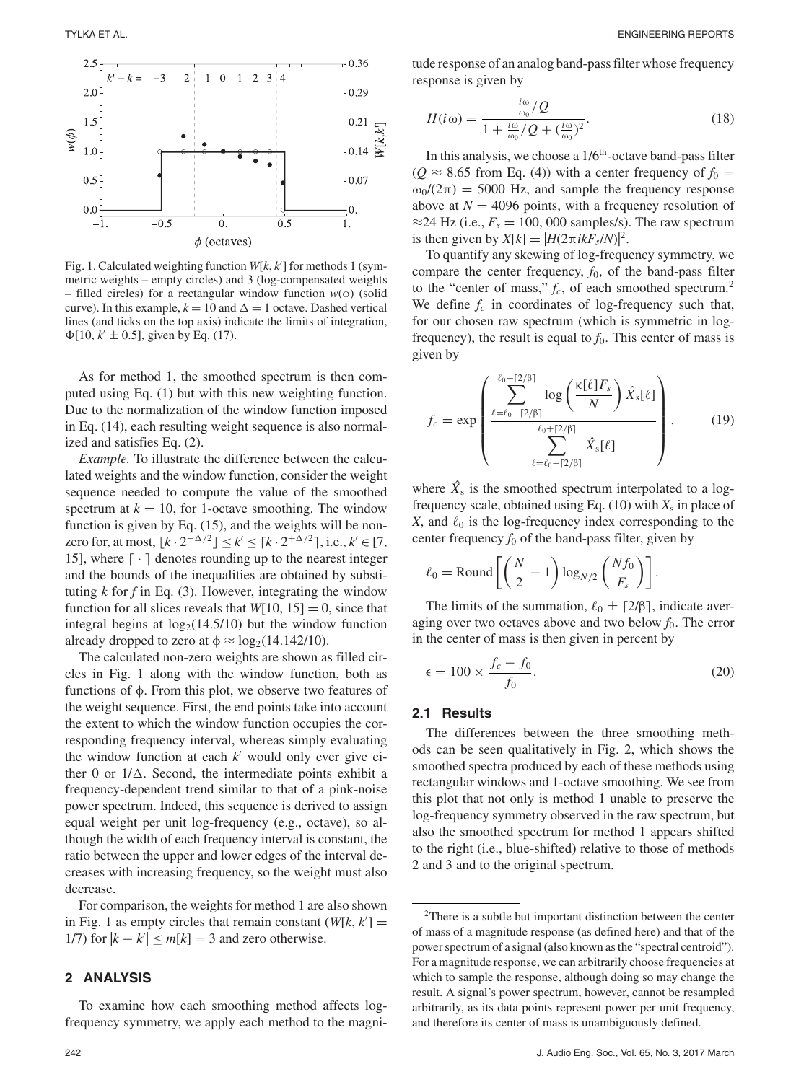

Fig. 1. Calculated weighting function *W*[*k*, *k* ] for methods 1 (symmetric weights – empty circles) and 3 (log-compensated weights – filled circles) for a rectangular window function *w*(φ) (solid curve). In this example,  $k = 10$  and  $\Delta = 1$  octave. Dashed vertical lines (and ticks on the top axis) indicate the limits of integration,  $\Phi[10, k' \pm 0.5]$ , given by Eq. (17).

As for method 1, the smoothed spectrum is then computed using Eq. (1) but with this new weighting function. Due to the normalization of the window function imposed in Eq. (14), each resulting weight sequence is also normalized and satisfies Eq. (2).

*Example.* To illustrate the difference between the calculated weights and the window function, consider the weight sequence needed to compute the value of the smoothed spectrum at  $k = 10$ , for 1-octave smoothing. The window function is given by Eq. (15), and the weights will be nonzero for, at most,  $\lfloor k \cdot 2^{-\Delta/2} \rfloor \le k' \le \lceil k \cdot 2^{+\Delta/2} \rceil$ , i.e.,  $k' \in [7,$ 15], where  $\lceil \cdot \rceil$  denotes rounding up to the nearest integer and the bounds of the inequalities are obtained by substituting  $k$  for  $f$  in Eq. (3). However, integrating the window function for all slices reveals that  $W[10, 15] = 0$ , since that integral begins at  $log_2(14.5/10)$  but the window function already dropped to zero at  $\phi \approx \log_2(14.142/10)$ .

The calculated non-zero weights are shown as filled circles in Fig. 1 along with the window function, both as functions of φ. From this plot, we observe two features of the weight sequence. First, the end points take into account the extent to which the window function occupies the corresponding frequency interval, whereas simply evaluating the window function at each  $k'$  would only ever give either 0 or  $1/\Delta$ . Second, the intermediate points exhibit a frequency-dependent trend similar to that of a pink-noise power spectrum. Indeed, this sequence is derived to assign equal weight per unit log-frequency (e.g., octave), so although the width of each frequency interval is constant, the ratio between the upper and lower edges of the interval decreases with increasing frequency, so the weight must also decrease.

For comparison, the weights for method 1 are also shown in Fig. 1 as empty circles that remain constant  $(W[k, k']) =$ 1/7) for  $|k - k'| \le m[k] = 3$  and zero otherwise.

# **2 ANALYSIS**

To examine how each smoothing method affects logfrequency symmetry, we apply each method to the magnitude response of an analog band-pass filter whose frequency response is given by

$$
H(i\omega) = \frac{\frac{i\omega}{\omega_0}/Q}{1 + \frac{i\omega}{\omega_0}/Q + (\frac{i\omega}{\omega_0})^2}.
$$
\n(18)

In this analysis, we choose a  $1/6<sup>th</sup>$ -octave band-pass filter  $(Q \approx 8.65$  from Eq. (4)) with a center frequency of  $f_0 =$  $\omega_0/(2\pi) = 5000$  Hz, and sample the frequency response above at  $N = 4096$  points, with a frequency resolution of  $\approx$ 24 Hz (i.e.,  $F_s = 100,000$  samples/s). The raw spectrum is then given by  $X[k] = |H(2\pi i kF_s/N)|^2$ .

To quantify any skewing of log-frequency symmetry, we compare the center frequency,  $f_0$ , of the band-pass filter to the "center of mass,"  $f_c$ , of each smoothed spectrum.<sup>2</sup> We define  $f_c$  in coordinates of log-frequency such that, for our chosen raw spectrum (which is symmetric in logfrequency), the result is equal to  $f_0$ . This center of mass is given by

$$
f_c = \exp\left(\frac{\sum_{\ell=\ell_0-\lceil 2/\beta\rceil}^{\ell_0+\lceil 2/\beta\rceil} \log\left(\frac{\kappa[\ell]F_s}{N}\right) \hat{X}_s[\ell]}{\sum_{\ell=\ell_0-\lceil 2/\beta\rceil}^{\ell_0+\lceil 2/\beta\rceil} \hat{X}_s[\ell]}\right),\qquad(19)
$$

where  $\hat{X}_s$  is the smoothed spectrum interpolated to a logfrequency scale, obtained using Eq. (10) with *X*<sup>s</sup> in place of *X*, and  $\ell_0$  is the log-frequency index corresponding to the center frequency  $f_0$  of the band-pass filter, given by

$$
\ell_0 = \text{Round}\left[\left(\frac{N}{2} - 1\right) \log_{N/2} \left(\frac{Nf_0}{F_s}\right)\right].
$$

The limits of the summation,  $\ell_0 \pm [2/\beta]$ , indicate averaging over two octaves above and two below  $f_0$ . The error in the center of mass is then given in percent by

$$
\epsilon = 100 \times \frac{f_c - f_0}{f_0}.\tag{20}
$$

#### **2.1 Results**

The differences between the three smoothing methods can be seen qualitatively in Fig. 2, which shows the smoothed spectra produced by each of these methods using rectangular windows and 1-octave smoothing. We see from this plot that not only is method 1 unable to preserve the log-frequency symmetry observed in the raw spectrum, but also the smoothed spectrum for method 1 appears shifted to the right (i.e., blue-shifted) relative to those of methods 2 and 3 and to the original spectrum.

<sup>2</sup>There is a subtle but important distinction between the center of mass of a magnitude response (as defined here) and that of the power spectrum of a signal (also known as the "spectral centroid"). For a magnitude response, we can arbitrarily choose frequencies at which to sample the response, although doing so may change the result. A signal's power spectrum, however, cannot be resampled arbitrarily, as its data points represent power per unit frequency, and therefore its center of mass is unambiguously defined.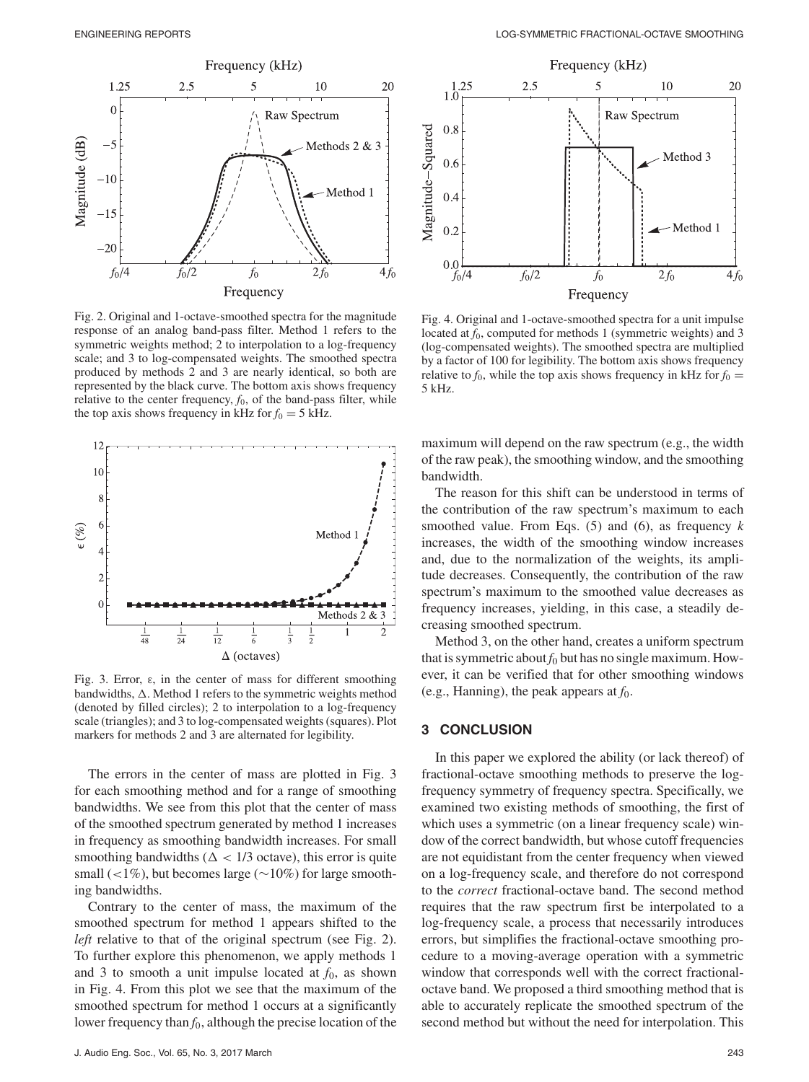

Fig. 2. Original and 1-octave-smoothed spectra for the magnitude response of an analog band-pass filter. Method 1 refers to the symmetric weights method; 2 to interpolation to a log-frequency scale; and 3 to log-compensated weights. The smoothed spectra produced by methods 2 and 3 are nearly identical, so both are represented by the black curve. The bottom axis shows frequency relative to the center frequency,  $f_0$ , of the band-pass filter, while the top axis shows frequency in kHz for  $f_0 = 5$  kHz.



Fig. 3. Error, ε, in the center of mass for different smoothing bandwidths,  $\Delta$ . Method 1 refers to the symmetric weights method (denoted by filled circles); 2 to interpolation to a log-frequency scale (triangles); and 3 to log-compensated weights (squares). Plot markers for methods 2 and 3 are alternated for legibility.

The errors in the center of mass are plotted in Fig. 3 for each smoothing method and for a range of smoothing bandwidths. We see from this plot that the center of mass of the smoothed spectrum generated by method 1 increases in frequency as smoothing bandwidth increases. For small smoothing bandwidths ( $\Delta$  < 1/3 octave), this error is quite small (<1%), but becomes large (∼10%) for large smoothing bandwidths.

Contrary to the center of mass, the maximum of the smoothed spectrum for method 1 appears shifted to the *left* relative to that of the original spectrum (see Fig. 2). To further explore this phenomenon, we apply methods 1 and 3 to smooth a unit impulse located at  $f_0$ , as shown in Fig. 4. From this plot we see that the maximum of the smoothed spectrum for method 1 occurs at a significantly lower frequency than  $f_0$ , although the precise location of the



Fig. 4. Original and 1-octave-smoothed spectra for a unit impulse located at  $f_0$ , computed for methods 1 (symmetric weights) and 3 (log-compensated weights). The smoothed spectra are multiplied by a factor of 100 for legibility. The bottom axis shows frequency relative to  $f_0$ , while the top axis shows frequency in kHz for  $f_0 =$ 5 kHz.

maximum will depend on the raw spectrum (e.g., the width of the raw peak), the smoothing window, and the smoothing bandwidth.

The reason for this shift can be understood in terms of the contribution of the raw spectrum's maximum to each smoothed value. From Eqs. (5) and (6), as frequency *k* increases, the width of the smoothing window increases and, due to the normalization of the weights, its amplitude decreases. Consequently, the contribution of the raw spectrum's maximum to the smoothed value decreases as frequency increases, yielding, in this case, a steadily decreasing smoothed spectrum.

Method 3, on the other hand, creates a uniform spectrum that is symmetric about  $f_0$  but has no single maximum. However, it can be verified that for other smoothing windows (e.g., Hanning), the peak appears at  $f_0$ .

# **3 CONCLUSION**

In this paper we explored the ability (or lack thereof) of fractional-octave smoothing methods to preserve the logfrequency symmetry of frequency spectra. Specifically, we examined two existing methods of smoothing, the first of which uses a symmetric (on a linear frequency scale) window of the correct bandwidth, but whose cutoff frequencies are not equidistant from the center frequency when viewed on a log-frequency scale, and therefore do not correspond to the *correct* fractional-octave band. The second method requires that the raw spectrum first be interpolated to a log-frequency scale, a process that necessarily introduces errors, but simplifies the fractional-octave smoothing procedure to a moving-average operation with a symmetric window that corresponds well with the correct fractionaloctave band. We proposed a third smoothing method that is able to accurately replicate the smoothed spectrum of the second method but without the need for interpolation. This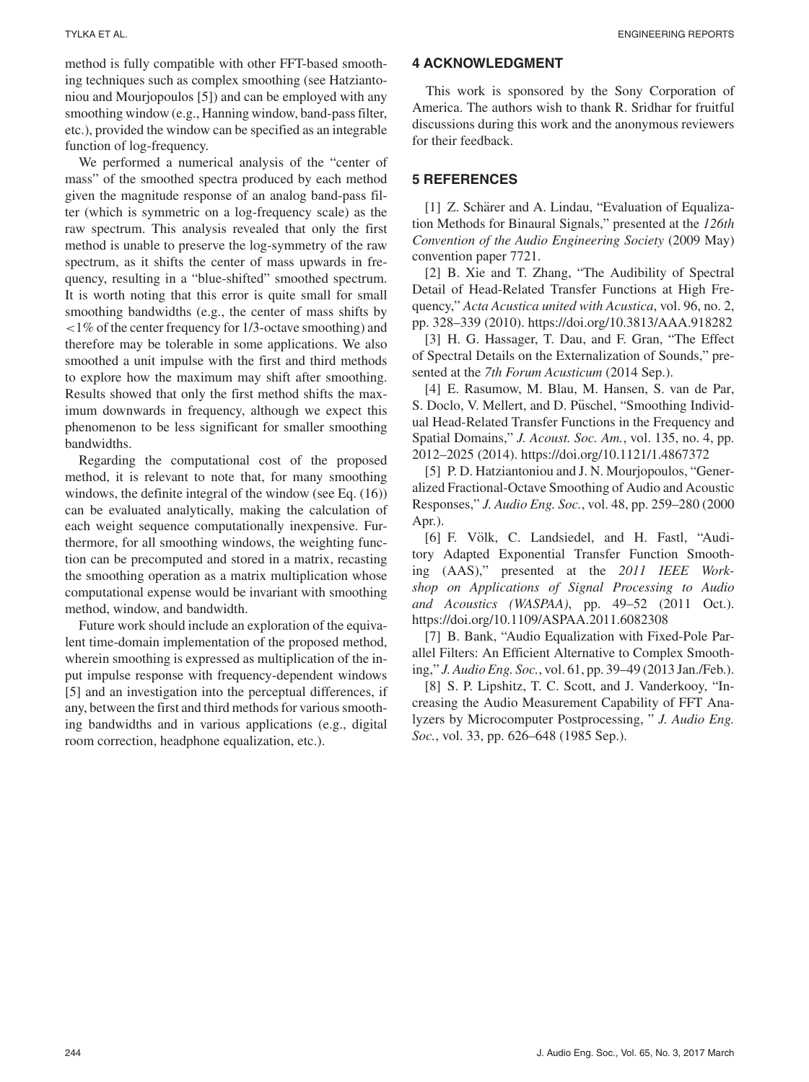method is fully compatible with other FFT-based smoothing techniques such as complex smoothing (see Hatziantoniou and Mourjopoulos [5]) and can be employed with any smoothing window (e.g., Hanning window, band-pass filter, etc.), provided the window can be specified as an integrable function of log-frequency.

We performed a numerical analysis of the "center of mass" of the smoothed spectra produced by each method given the magnitude response of an analog band-pass filter (which is symmetric on a log-frequency scale) as the raw spectrum. This analysis revealed that only the first method is unable to preserve the log-symmetry of the raw spectrum, as it shifts the center of mass upwards in frequency, resulting in a "blue-shifted" smoothed spectrum. It is worth noting that this error is quite small for small smoothing bandwidths (e.g., the center of mass shifts by <1% of the center frequency for 1/3-octave smoothing) and therefore may be tolerable in some applications. We also smoothed a unit impulse with the first and third methods to explore how the maximum may shift after smoothing. Results showed that only the first method shifts the maximum downwards in frequency, although we expect this phenomenon to be less significant for smaller smoothing bandwidths.

Regarding the computational cost of the proposed method, it is relevant to note that, for many smoothing windows, the definite integral of the window (see Eq. (16)) can be evaluated analytically, making the calculation of each weight sequence computationally inexpensive. Furthermore, for all smoothing windows, the weighting function can be precomputed and stored in a matrix, recasting the smoothing operation as a matrix multiplication whose computational expense would be invariant with smoothing method, window, and bandwidth.

Future work should include an exploration of the equivalent time-domain implementation of the proposed method, wherein smoothing is expressed as multiplication of the input impulse response with frequency-dependent windows [5] and an investigation into the perceptual differences, if any, between the first and third methods for various smoothing bandwidths and in various applications (e.g., digital room correction, headphone equalization, etc.).

# **4 ACKNOWLEDGMENT**

This work is sponsored by the Sony Corporation of America. The authors wish to thank R. Sridhar for fruitful discussions during this work and the anonymous reviewers for their feedback.

## **5 REFERENCES**

[1] Z. Schärer and A. Lindau, "Evaluation of Equalization Methods for Binaural Signals," presented at the *126th Convention of the Audio Engineering Society* (2009 May) convention paper 7721.

[2] B. Xie and T. Zhang, "The Audibility of Spectral Detail of Head-Related Transfer Functions at High Frequency," *Acta Acustica united with Acustica*, vol. 96, no. 2, pp. 328–339 (2010). https://doi.org/10.3813/AAA.918282

[3] H. G. Hassager, T. Dau, and F. Gran, "The Effect of Spectral Details on the Externalization of Sounds," presented at the *7th Forum Acusticum* (2014 Sep.).

[4] E. Rasumow, M. Blau, M. Hansen, S. van de Par, S. Doclo, V. Mellert, and D. Püschel, "Smoothing Individual Head-Related Transfer Functions in the Frequency and Spatial Domains," *J. Acoust. Soc. Am.*, vol. 135, no. 4, pp. 2012–2025 (2014). https://doi.org/10.1121/1.4867372

[5] P. D. Hatziantoniou and J. N. Mourjopoulos, "Generalized Fractional-Octave Smoothing of Audio and Acoustic Responses," *J. Audio Eng. Soc.*, vol. 48, pp. 259–280 (2000 Apr.).

[6] F. Völk, C. Landsiedel, and H. Fastl, "Auditory Adapted Exponential Transfer Function Smoothing (AAS)," presented at the *2011 IEEE Workshop on Applications of Signal Processing to Audio and Acoustics (WASPAA)*, pp. 49–52 (2011 Oct.). https://doi.org/10.1109/ASPAA.2011.6082308

[7] B. Bank, "Audio Equalization with Fixed-Pole Parallel Filters: An Efficient Alternative to Complex Smoothing," *J. Audio Eng. Soc.*, vol. 61, pp. 39–49 (2013 Jan./Feb.).

[8] S. P. Lipshitz, T. C. Scott, and J. Vanderkooy, "Increasing the Audio Measurement Capability of FFT Analyzers by Microcomputer Postprocessing, " *J. Audio Eng. Soc.*, vol. 33, pp. 626–648 (1985 Sep.).